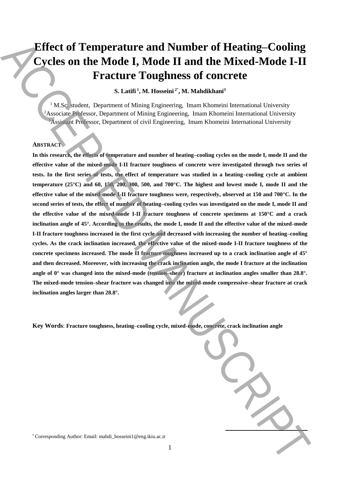# **Effect of Temperature and Number of Heating–Cooling Cycles on the Mode I, Mode II and the Mixed-Mode I-II Fracture Toughness of concrete**

 $\mathbf{S}.$  Latifi<sup>1</sup>, M. Hosseini<sup>2\*</sup>, M. Mahdikhani<sup>3</sup>

<sup>1</sup> M.Sc. student, Department of Mining Engineering, Imam Khomeini International University <sup>2</sup>Associate Professor, Department of Mining Engineering, Imam Khomeini International University <sup>3</sup>Assistant Professor, Department of civil Engineering, Imam Khomeini International University

## **ABSTRACT**

**In this research, the effects of temperature and number of heating–cooling cycles on the mode I, mode II and the effective value of the mixed-mode I-II fracture toughness of concrete were investigated through two series of tests. In the first series of tests, the effect of temperature was studied in a heating–cooling cycle at ambient temperature (25°C) and 60, 150, 200, 300, 500, and 700°C. The highest and lowest mode I, mode II and the effective value of the mixed-mode I-II fracture toughness were, respectively, observed at 150 and 700°C. In the second series of tests, the effect of number of heating–cooling cycles was investigated on the mode I, mode II and the effective value of the mixed-mode I-II fracture toughness of concrete specimens at 150°C and a crack inclination angle of 45°. According to the results, the mode I, mode II and the effective value of the mixed-mode I-II fracture toughness increased in the first cycle and decreased with increasing the number of heating–cooling cycles. As the crack inclination increased, the effective value of the mixed-mode I-II fracture toughness of the concrete specimens increased. The mode II fracture toughness increased up to a crack inclination angle of 45° and then decreased. Moreover, with increasing the crack inclination angle, the mode I fracture at the inclination angle of 0° was changed into the mixed-mode (tension–shear) fracture at inclination angles smaller than 28.8°. The mixed-mode tension–shear fracture was changed into the mixed-mode compressive–shear fracture at crack inclination angles larger than 28.8°.** Effect of Temperature and Number of Heating-Cooling<br>
Cycles on the Mode I. Mode II and the Mixed-Mode I-II<br>
Fracture Toughness of concerne interactions of the state in the state in the state of corrections<br>
(Authorities T

**Key Words**: **Fracture toughness, heating–cooling cycle, mixed-mode, concrete, crack inclination angle**

**.**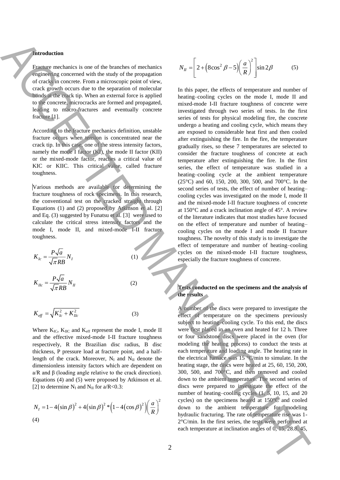## **Introduction**

Fracture mechanics is one of the branches of mechanics engineering concerned with the study of the propagation of cracks in concrete. From a microscopic point of view, crack growth occurs due to the separation of molecular bonds at the crack tip. When an external force is applied to the concrete, microcracks are formed and propagated, leading to macro-fractures and eventually concrete fracture [1].

According to the fracture mechanics definition, unstable fracture occurs when tension is concentrated near the crack tip. In this case, one of the stress intensity factors, namely the mode I factor (KI), the mode II factor (KII) or the mixed-mode factor, reaches a critical value of KIC or KIIC. This critical value, called fracture toughness.

Various methods are available for determining the fracture toughness of rock specimens. In this research, the conventional test on the cracked straight through Equations (1) and (2) proposed by Atkinson et al. [2] and Eq. (3) suggested by Funatsu et al. [3] were used to calculate the critical stress intensity factors and the mode I, mode II, and mixed-mode I-II fracture toughness.

$$
K_{Ic} = \frac{P\sqrt{a}}{\sqrt{\pi}RB} N_I
$$
\n
$$
K_{Ilc} = \frac{P\sqrt{a}}{\sqrt{\pi}RB} N_{II}
$$
\n(1)

$$
K_{\text{eff}} = \sqrt{K_{\text{lc}}^2 + K_{\text{Ilc}}^2}
$$
 (3)

Where  $K_{\text{IC}}$ ,  $K_{\text{IIC}}$  and  $K_{\text{eff}}$  represent the mode I, mode II and the effective mixed-mode I-II fracture toughness respectively, R the Brazilian disc radius, B disc thickness, P pressure load at fracture point, and a halflength of the crack. Moreover,  $N_I$  and  $N_{II}$  denote the dimensionless intensity factors which are dependent on a/R and β (loading angle relative to the crack direction). Equations (4) and (5) were proposed by Atkinson et al. [2] to determine  $N_I$  and  $N_{II}$  for a/R<0.3:

$$
N_{I} = 1 - 4\left(\sin \beta\right)^{2} + 4\left(\sin \beta\right)^{2} * \left(1 - 4\left(\cos \beta\right)^{2}\right)\left(\frac{a}{R}\right)^{2}
$$
\n(4)

$$
N_{II} = \left[2 + \left(8\cos^2\beta - 5\right)\left(\frac{a}{R}\right)^2\right]\sin 2\beta\tag{5}
$$

In this paper, the effects of temperature and number of heating–cooling cycles on the mode I, mode II and mixed-mode I-II fracture toughness of concrete were investigated through two series of tests. In the first series of tests for physical modeling fire, the concrete undergo a heating and cooling cycle, which means they are exposed to considerable heat first and then cooled after extinguishing the fire. In the fire, the temperature gradually rises, so these 7 temperatures are selected to consider the fracture toughness of concrete at each temperature after extinguishing the fire. In the first series, the effect of temperature was studied in a heating–cooling cycle at the ambient temperature (25°C) and 60, 150, 200, 300, 500, and 700°C. In the second series of tests, the effect of number of heating– cooling cycles was investigated on the mode I, mode II and the mixed-mode I-II fracture toughness of concrete at 150°C and a crack inclination angle of 45°. A review of the literature indicates that most studies have focused on the effect of temperature and number of heating– cooling cycles on the mode I and mode II fracture toughness. The novelty of this study is to investigate the effect of temperature and number of heating–cooling cycles on the mixed-mode I-II fracture toughness, especially the fracture toughness of concrete. **Example the strengthenial strengthenial strengthenial strengthenial strengthenial strengthenial strengthenial strengthenial strengthenial strengthenial strengthenial strengthenial strengthenial strengthenial strengthenia** 

# **Tests conducted on the specimens and the analysis of the results**

A number of the discs were prepared to investigate the effect of temperature on the specimens previously subject to heating–cooling cycle. To this end, the discs were first placed in an oven and heated for 12 h. Three or four sandstone discs were placed in the oven (for modeling the heating process) to conduct the tests at each temperature and loading angle. The heating rate in the electrical furnace was 15 °C/min to simulate. In the heating stage, the discs were heated at 25, 60, 150, 200, 300, 500, and 700°C, and then removed and cooled down to the ambient temperature. The second series of discs were prepared to investigate the effect of the number of heating–cooling cycles  $(1, 5, 10, 15,$  and 20 cycles) on the specimens heated at 150°C and cooled down to the ambient temperature for modeling hydraulic fracturing. The rate of temperature rise was 1- 2°C/min. In the first series, the tests were performed at